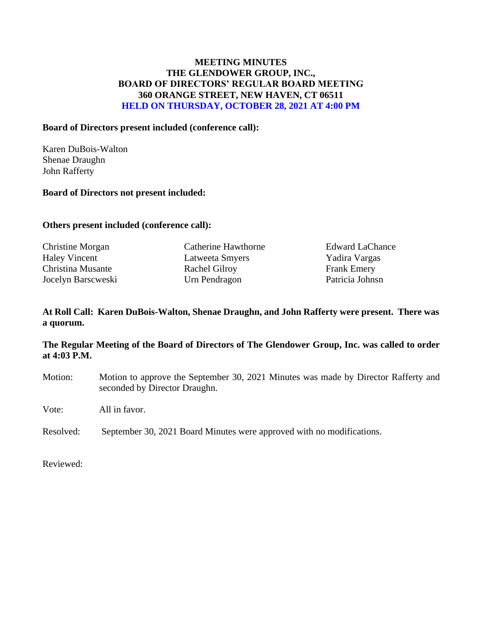# **MEETING MINUTES THE GLENDOWER GROUP, INC., BOARD OF DIRECTORS' REGULAR BOARD MEETING 360 ORANGE STREET, NEW HAVEN, CT 06511 HELD ON THURSDAY, OCTOBER 28, 2021 AT 4:00 PM**

#### **Board of Directors present included (conference call):**

Karen DuBois-Walton Shenae Draughn John Rafferty

#### **Board of Directors not present included:**

## **Others present included (conference call):**

Haley Vincent Latweeta Smyers Yadira Vargas Christina Musante Rachel Gilroy Frank Emery Jocelyn Barscweski Urn Pendragon Patricia Johnsn

Christine Morgan Catherine Hawthorne Edward LaChance

# **At Roll Call: Karen DuBois-Walton, Shenae Draughn, and John Rafferty were present. There was a quorum.**

# **The Regular Meeting of the Board of Directors of The Glendower Group, Inc. was called to order at 4:03 P.M.**

Motion: Motion to approve the September 30, 2021 Minutes was made by Director Rafferty and seconded by Director Draughn.

Vote: All in favor.

Resolved: September 30, 2021 Board Minutes were approved with no modifications.

Reviewed: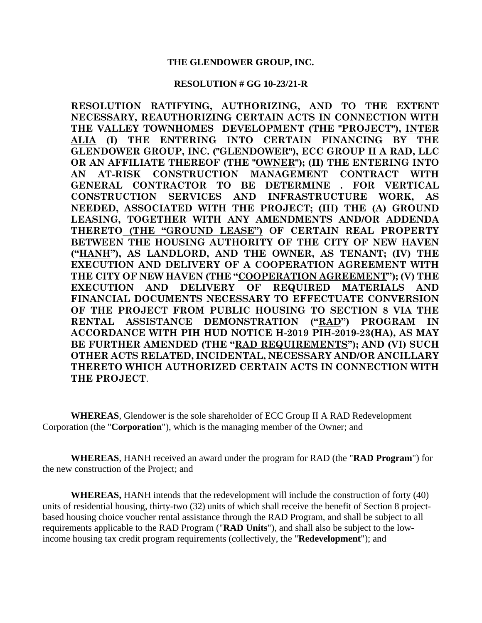#### **RESOLUTION # GG 10-23/21-R**

**RESOLUTION RATIFYING, AUTHORIZING, AND TO THE EXTENT NECESSARY, REAUTHORIZING CERTAIN ACTS IN CONNECTION WITH THE VALLEY TOWNHOMES DEVELOPMENT (THE "PROJECT"), INTER ALIA (I) THE ENTERING INTO CERTAIN FINANCING BY THE GLENDOWER GROUP, INC. ("GLENDOWER"), ECC GROUP II A RAD, LLC OR AN AFFILIATE THEREOF (THE "OWNER"); (II) THE ENTERING INTO AN AT-RISK CONSTRUCTION MANAGEMENT CONTRACT WITH GENERAL CONTRACTOR TO BE DETERMINE . FOR VERTICAL CONSTRUCTION SERVICES AND INFRASTRUCTURE WORK, AS NEEDED, ASSOCIATED WITH THE PROJECT; (III) THE (A) GROUND LEASING, TOGETHER WITH ANY AMENDMENTS AND/OR ADDENDA THERETO (THE "GROUND LEASE") OF CERTAIN REAL PROPERTY BETWEEN THE HOUSING AUTHORITY OF THE CITY OF NEW HAVEN ("HANH"), AS LANDLORD, AND THE OWNER, AS TENANT; (IV) THE EXECUTION AND DELIVERY OF A COOPERATION AGREEMENT WITH THE CITY OF NEW HAVEN (THE "COOPERATION AGREEMENT"); (V) THE EXECUTION AND DELIVERY OF REQUIRED MATERIALS AND FINANCIAL DOCUMENTS NECESSARY TO EFFECTUATE CONVERSION OF THE PROJECT FROM PUBLIC HOUSING TO SECTION 8 VIA THE RENTAL ASSISTANCE DEMONSTRATION ("RAD") PROGRAM IN ACCORDANCE WITH PIH HUD NOTICE H-2019 PIH-2019-23(HA), AS MAY BE FURTHER AMENDED (THE "RAD REQUIREMENTS"); AND (VI) SUCH OTHER ACTS RELATED, INCIDENTAL, NECESSARY AND/OR ANCILLARY THERETO WHICH AUTHORIZED CERTAIN ACTS IN CONNECTION WITH THE PROJECT**.

**WHEREAS**, Glendower is the sole shareholder of ECC Group II A RAD Redevelopment Corporation (the "**Corporation**"), which is the managing member of the Owner; and

**WHEREAS**, HANH received an award under the program for RAD (the "**RAD Program**") for the new construction of the Project; and

**WHEREAS,** HANH intends that the redevelopment will include the construction of forty (40) units of residential housing, thirty-two (32) units of which shall receive the benefit of Section 8 projectbased housing choice voucher rental assistance through the RAD Program, and shall be subject to all requirements applicable to the RAD Program ("**RAD Units**"), and shall also be subject to the lowincome housing tax credit program requirements (collectively, the "**Redevelopment**"); and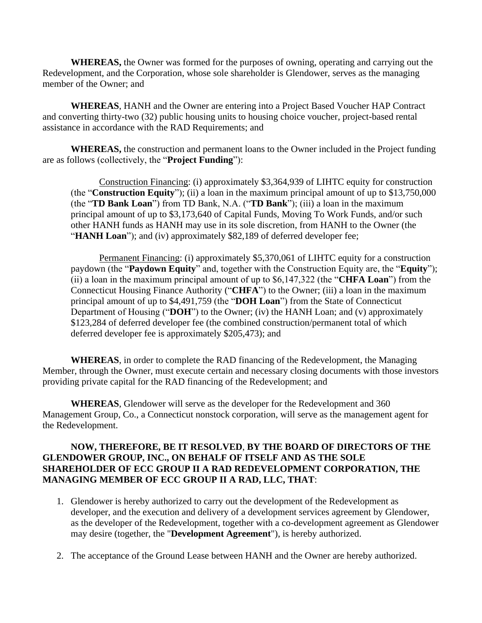**WHEREAS,** the Owner was formed for the purposes of owning, operating and carrying out the Redevelopment, and the Corporation, whose sole shareholder is Glendower, serves as the managing member of the Owner; and

**WHEREAS**, HANH and the Owner are entering into a Project Based Voucher HAP Contract and converting thirty-two (32) public housing units to housing choice voucher, project-based rental assistance in accordance with the RAD Requirements; and

**WHEREAS,** the construction and permanent loans to the Owner included in the Project funding are as follows (collectively, the "**Project Funding**"):

Construction Financing: (i) approximately \$3,364,939 of LIHTC equity for construction (the "**Construction Equity**"); (ii) a loan in the maximum principal amount of up to \$13,750,000 (the "**TD Bank Loan**") from TD Bank, N.A. ("**TD Bank**"); (iii) a loan in the maximum principal amount of up to \$3,173,640 of Capital Funds, Moving To Work Funds, and/or such other HANH funds as HANH may use in its sole discretion, from HANH to the Owner (the "**HANH Loan**"); and (iv) approximately \$82,189 of deferred developer fee;

Permanent Financing: (i) approximately \$5,370,061 of LIHTC equity for a construction paydown (the "**Paydown Equity**" and, together with the Construction Equity are, the "**Equity**"); (ii) a loan in the maximum principal amount of up to \$6,147,322 (the "**CHFA Loan**") from the Connecticut Housing Finance Authority ("**CHFA**") to the Owner; (iii) a loan in the maximum principal amount of up to \$4,491,759 (the "**DOH Loan**") from the State of Connecticut Department of Housing ("**DOH**") to the Owner; (iv) the HANH Loan; and (v) approximately \$123,284 of deferred developer fee (the combined construction/permanent total of which deferred developer fee is approximately \$205,473); and

**WHEREAS**, in order to complete the RAD financing of the Redevelopment, the Managing Member, through the Owner, must execute certain and necessary closing documents with those investors providing private capital for the RAD financing of the Redevelopment; and

**WHEREAS**, Glendower will serve as the developer for the Redevelopment and 360 Management Group, Co., a Connecticut nonstock corporation, will serve as the management agent for the Redevelopment.

## **NOW, THEREFORE, BE IT RESOLVED**, **BY THE BOARD OF DIRECTORS OF THE GLENDOWER GROUP, INC., ON BEHALF OF ITSELF AND AS THE SOLE SHAREHOLDER OF ECC GROUP II A RAD REDEVELOPMENT CORPORATION, THE MANAGING MEMBER OF ECC GROUP II A RAD, LLC, THAT**:

- 1. Glendower is hereby authorized to carry out the development of the Redevelopment as developer, and the execution and delivery of a development services agreement by Glendower, as the developer of the Redevelopment, together with a co-development agreement as Glendower may desire (together, the "**Development Agreement**"), is hereby authorized.
- 2. The acceptance of the Ground Lease between HANH and the Owner are hereby authorized.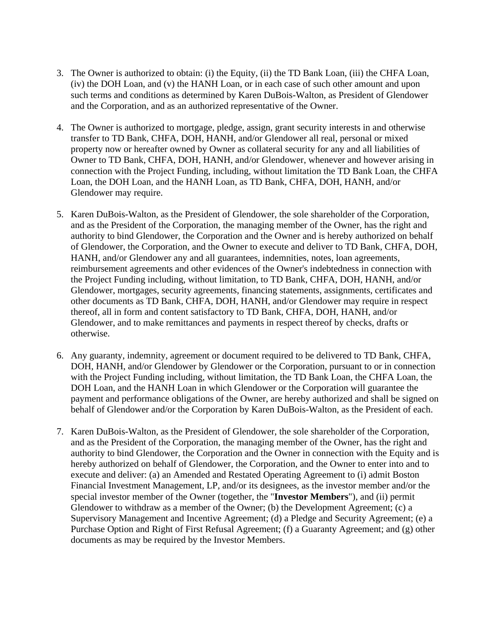- 3. The Owner is authorized to obtain: (i) the Equity, (ii) the TD Bank Loan, (iii) the CHFA Loan, (iv) the DOH Loan, and (v) the HANH Loan, or in each case of such other amount and upon such terms and conditions as determined by Karen DuBois-Walton, as President of Glendower and the Corporation, and as an authorized representative of the Owner.
- 4. The Owner is authorized to mortgage, pledge, assign, grant security interests in and otherwise transfer to TD Bank, CHFA, DOH, HANH, and/or Glendower all real, personal or mixed property now or hereafter owned by Owner as collateral security for any and all liabilities of Owner to TD Bank, CHFA, DOH, HANH, and/or Glendower, whenever and however arising in connection with the Project Funding, including, without limitation the TD Bank Loan, the CHFA Loan, the DOH Loan, and the HANH Loan, as TD Bank, CHFA, DOH, HANH, and/or Glendower may require.
- 5. Karen DuBois-Walton, as the President of Glendower, the sole shareholder of the Corporation, and as the President of the Corporation, the managing member of the Owner, has the right and authority to bind Glendower, the Corporation and the Owner and is hereby authorized on behalf of Glendower, the Corporation, and the Owner to execute and deliver to TD Bank, CHFA, DOH, HANH, and/or Glendower any and all guarantees, indemnities, notes, loan agreements, reimbursement agreements and other evidences of the Owner's indebtedness in connection with the Project Funding including, without limitation, to TD Bank, CHFA, DOH, HANH, and/or Glendower, mortgages, security agreements, financing statements, assignments, certificates and other documents as TD Bank, CHFA, DOH, HANH, and/or Glendower may require in respect thereof, all in form and content satisfactory to TD Bank, CHFA, DOH, HANH, and/or Glendower, and to make remittances and payments in respect thereof by checks, drafts or otherwise.
- 6. Any guaranty, indemnity, agreement or document required to be delivered to TD Bank, CHFA, DOH, HANH, and/or Glendower by Glendower or the Corporation, pursuant to or in connection with the Project Funding including, without limitation, the TD Bank Loan, the CHFA Loan, the DOH Loan, and the HANH Loan in which Glendower or the Corporation will guarantee the payment and performance obligations of the Owner, are hereby authorized and shall be signed on behalf of Glendower and/or the Corporation by Karen DuBois-Walton, as the President of each.
- 7. Karen DuBois-Walton, as the President of Glendower, the sole shareholder of the Corporation, and as the President of the Corporation, the managing member of the Owner, has the right and authority to bind Glendower, the Corporation and the Owner in connection with the Equity and is hereby authorized on behalf of Glendower, the Corporation, and the Owner to enter into and to execute and deliver: (a) an Amended and Restated Operating Agreement to (i) admit Boston Financial Investment Management, LP, and/or its designees, as the investor member and/or the special investor member of the Owner (together, the "**Investor Members**"), and (ii) permit Glendower to withdraw as a member of the Owner; (b) the Development Agreement; (c) a Supervisory Management and Incentive Agreement; (d) a Pledge and Security Agreement; (e) a Purchase Option and Right of First Refusal Agreement; (f) a Guaranty Agreement; and (g) other documents as may be required by the Investor Members.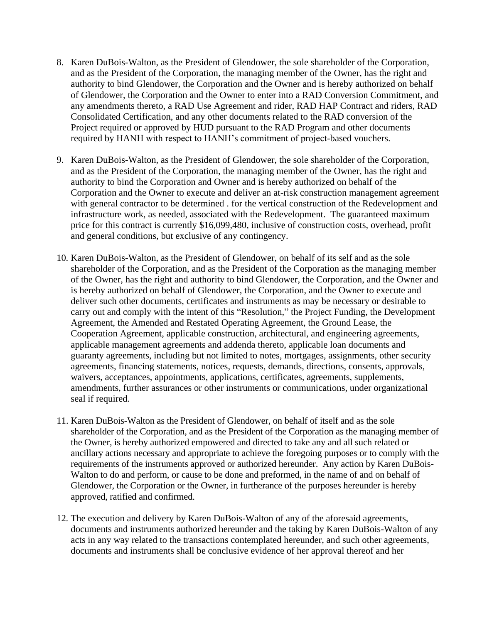- 8. Karen DuBois-Walton, as the President of Glendower, the sole shareholder of the Corporation, and as the President of the Corporation, the managing member of the Owner, has the right and authority to bind Glendower, the Corporation and the Owner and is hereby authorized on behalf of Glendower, the Corporation and the Owner to enter into a RAD Conversion Commitment, and any amendments thereto, a RAD Use Agreement and rider, RAD HAP Contract and riders, RAD Consolidated Certification, and any other documents related to the RAD conversion of the Project required or approved by HUD pursuant to the RAD Program and other documents required by HANH with respect to HANH's commitment of project-based vouchers.
- 9. Karen DuBois-Walton, as the President of Glendower, the sole shareholder of the Corporation, and as the President of the Corporation, the managing member of the Owner, has the right and authority to bind the Corporation and Owner and is hereby authorized on behalf of the Corporation and the Owner to execute and deliver an at-risk construction management agreement with general contractor to be determined . for the vertical construction of the Redevelopment and infrastructure work, as needed, associated with the Redevelopment. The guaranteed maximum price for this contract is currently \$16,099,480, inclusive of construction costs, overhead, profit and general conditions, but exclusive of any contingency.
- 10. Karen DuBois-Walton, as the President of Glendower, on behalf of its self and as the sole shareholder of the Corporation, and as the President of the Corporation as the managing member of the Owner, has the right and authority to bind Glendower, the Corporation, and the Owner and is hereby authorized on behalf of Glendower, the Corporation, and the Owner to execute and deliver such other documents, certificates and instruments as may be necessary or desirable to carry out and comply with the intent of this "Resolution," the Project Funding, the Development Agreement, the Amended and Restated Operating Agreement, the Ground Lease, the Cooperation Agreement, applicable construction, architectural, and engineering agreements, applicable management agreements and addenda thereto, applicable loan documents and guaranty agreements, including but not limited to notes, mortgages, assignments, other security agreements, financing statements, notices, requests, demands, directions, consents, approvals, waivers, acceptances, appointments, applications, certificates, agreements, supplements, amendments, further assurances or other instruments or communications, under organizational seal if required.
- 11. Karen DuBois-Walton as the President of Glendower, on behalf of itself and as the sole shareholder of the Corporation, and as the President of the Corporation as the managing member of the Owner, is hereby authorized empowered and directed to take any and all such related or ancillary actions necessary and appropriate to achieve the foregoing purposes or to comply with the requirements of the instruments approved or authorized hereunder. Any action by Karen DuBois-Walton to do and perform, or cause to be done and preformed, in the name of and on behalf of Glendower, the Corporation or the Owner, in furtherance of the purposes hereunder is hereby approved, ratified and confirmed.
- 12. The execution and delivery by Karen DuBois-Walton of any of the aforesaid agreements, documents and instruments authorized hereunder and the taking by Karen DuBois-Walton of any acts in any way related to the transactions contemplated hereunder, and such other agreements, documents and instruments shall be conclusive evidence of her approval thereof and her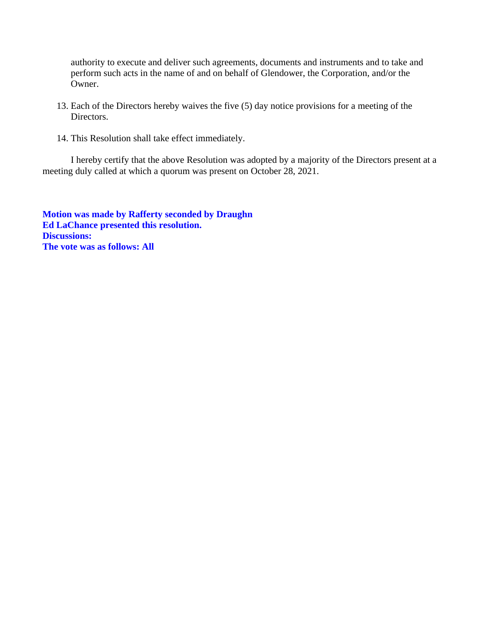authority to execute and deliver such agreements, documents and instruments and to take and perform such acts in the name of and on behalf of Glendower, the Corporation, and/or the Owner.

- 13. Each of the Directors hereby waives the five (5) day notice provisions for a meeting of the Directors.
- 14. This Resolution shall take effect immediately.

I hereby certify that the above Resolution was adopted by a majority of the Directors present at a meeting duly called at which a quorum was present on October 28, 2021.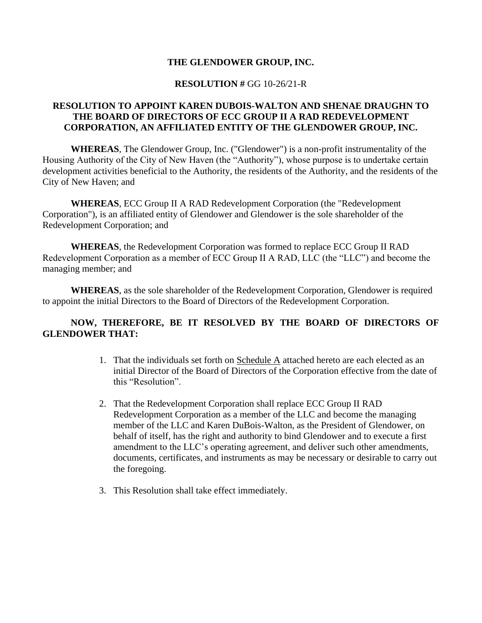#### **RESOLUTION #** GG 10-26/21-R

# **RESOLUTION TO APPOINT KAREN DUBOIS-WALTON AND SHENAE DRAUGHN TO THE BOARD OF DIRECTORS OF ECC GROUP II A RAD REDEVELOPMENT CORPORATION, AN AFFILIATED ENTITY OF THE GLENDOWER GROUP, INC.**

**WHEREAS**, The Glendower Group, Inc. ("Glendower") is a non-profit instrumentality of the Housing Authority of the City of New Haven (the "Authority"), whose purpose is to undertake certain development activities beneficial to the Authority, the residents of the Authority, and the residents of the City of New Haven; and

**WHEREAS**, ECC Group II A RAD Redevelopment Corporation (the "Redevelopment Corporation"), is an affiliated entity of Glendower and Glendower is the sole shareholder of the Redevelopment Corporation; and

**WHEREAS**, the Redevelopment Corporation was formed to replace ECC Group II RAD Redevelopment Corporation as a member of ECC Group II A RAD, LLC (the "LLC") and become the managing member; and

**WHEREAS**, as the sole shareholder of the Redevelopment Corporation, Glendower is required to appoint the initial Directors to the Board of Directors of the Redevelopment Corporation.

# **NOW, THEREFORE, BE IT RESOLVED BY THE BOARD OF DIRECTORS OF GLENDOWER THAT:**

- 1. That the individuals set forth on Schedule A attached hereto are each elected as an initial Director of the Board of Directors of the Corporation effective from the date of this "Resolution".
- 2. That the Redevelopment Corporation shall replace ECC Group II RAD Redevelopment Corporation as a member of the LLC and become the managing member of the LLC and Karen DuBois-Walton, as the President of Glendower, on behalf of itself, has the right and authority to bind Glendower and to execute a first amendment to the LLC's operating agreement, and deliver such other amendments, documents, certificates, and instruments as may be necessary or desirable to carry out the foregoing.
- 3. This Resolution shall take effect immediately.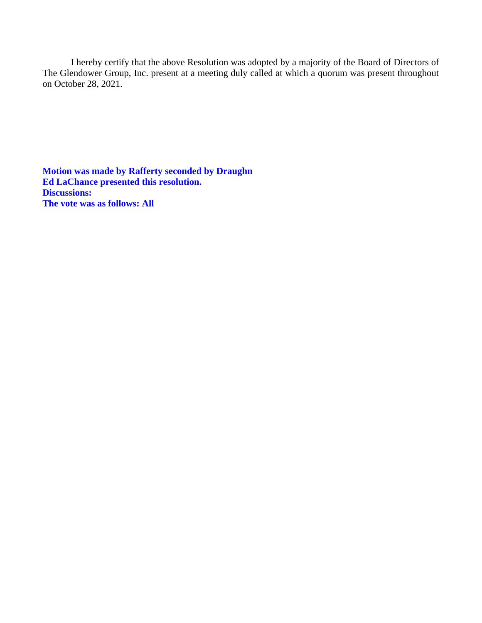I hereby certify that the above Resolution was adopted by a majority of the Board of Directors of The Glendower Group, Inc. present at a meeting duly called at which a quorum was present throughout on October 28, 2021.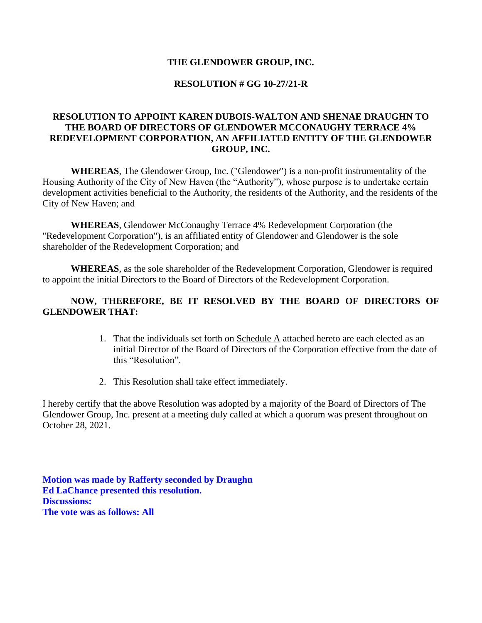# **RESOLUTION # GG 10-27/21-R**

# **RESOLUTION TO APPOINT KAREN DUBOIS-WALTON AND SHENAE DRAUGHN TO THE BOARD OF DIRECTORS OF GLENDOWER MCCONAUGHY TERRACE 4% REDEVELOPMENT CORPORATION, AN AFFILIATED ENTITY OF THE GLENDOWER GROUP, INC.**

**WHEREAS**, The Glendower Group, Inc. ("Glendower") is a non-profit instrumentality of the Housing Authority of the City of New Haven (the "Authority"), whose purpose is to undertake certain development activities beneficial to the Authority, the residents of the Authority, and the residents of the City of New Haven; and

**WHEREAS**, Glendower McConaughy Terrace 4% Redevelopment Corporation (the "Redevelopment Corporation"), is an affiliated entity of Glendower and Glendower is the sole shareholder of the Redevelopment Corporation; and

**WHEREAS**, as the sole shareholder of the Redevelopment Corporation, Glendower is required to appoint the initial Directors to the Board of Directors of the Redevelopment Corporation.

# **NOW, THEREFORE, BE IT RESOLVED BY THE BOARD OF DIRECTORS OF GLENDOWER THAT:**

- 1. That the individuals set forth on Schedule A attached hereto are each elected as an initial Director of the Board of Directors of the Corporation effective from the date of this "Resolution".
- 2. This Resolution shall take effect immediately.

I hereby certify that the above Resolution was adopted by a majority of the Board of Directors of The Glendower Group, Inc. present at a meeting duly called at which a quorum was present throughout on October 28, 2021.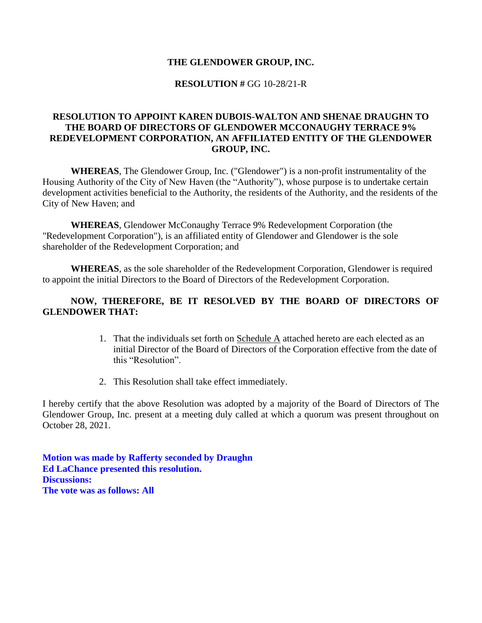## **RESOLUTION #** GG 10-28/21-R

# **RESOLUTION TO APPOINT KAREN DUBOIS-WALTON AND SHENAE DRAUGHN TO THE BOARD OF DIRECTORS OF GLENDOWER MCCONAUGHY TERRACE 9% REDEVELOPMENT CORPORATION, AN AFFILIATED ENTITY OF THE GLENDOWER GROUP, INC.**

**WHEREAS**, The Glendower Group, Inc. ("Glendower") is a non-profit instrumentality of the Housing Authority of the City of New Haven (the "Authority"), whose purpose is to undertake certain development activities beneficial to the Authority, the residents of the Authority, and the residents of the City of New Haven; and

**WHEREAS**, Glendower McConaughy Terrace 9% Redevelopment Corporation (the "Redevelopment Corporation"), is an affiliated entity of Glendower and Glendower is the sole shareholder of the Redevelopment Corporation; and

**WHEREAS**, as the sole shareholder of the Redevelopment Corporation, Glendower is required to appoint the initial Directors to the Board of Directors of the Redevelopment Corporation.

# **NOW, THEREFORE, BE IT RESOLVED BY THE BOARD OF DIRECTORS OF GLENDOWER THAT:**

- 1. That the individuals set forth on Schedule A attached hereto are each elected as an initial Director of the Board of Directors of the Corporation effective from the date of this "Resolution".
- 2. This Resolution shall take effect immediately.

I hereby certify that the above Resolution was adopted by a majority of the Board of Directors of The Glendower Group, Inc. present at a meeting duly called at which a quorum was present throughout on October 28, 2021.